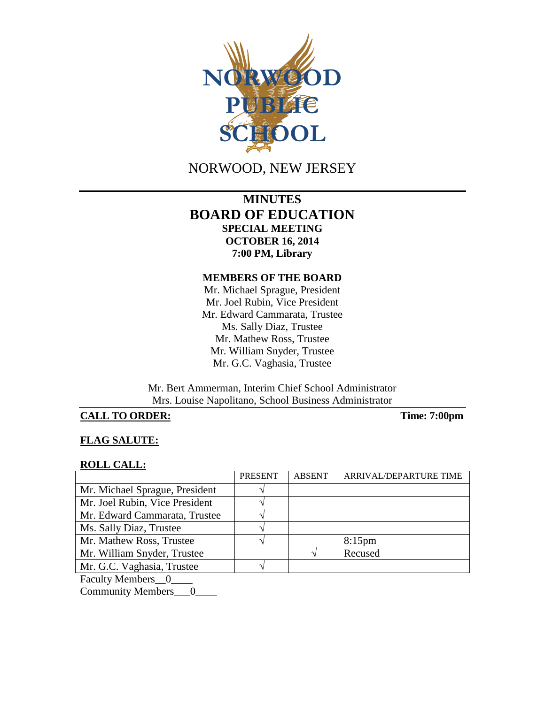

NORWOOD, NEW JERSEY

# **MINUTES BOARD OF EDUCATION SPECIAL MEETING OCTOBER 16, 2014 7:00 PM, Library**

### **MEMBERS OF THE BOARD**

Mr. Michael Sprague, President Mr. Joel Rubin, Vice President Mr. Edward Cammarata, Trustee Ms. Sally Diaz, Trustee Mr. Mathew Ross, Trustee Mr. William Snyder, Trustee Mr. G.C. Vaghasia, Trustee

Mr. Bert Ammerman, Interim Chief School Administrator Mrs. Louise Napolitano, School Business Administrator

## **CALL TO ORDER: Time: 7:00pm**

### **FLAG SALUTE:**

#### **ROLL CALL:**

|                                          | <b>PRESENT</b> | <b>ABSENT</b> | ARRIVAL/DEPARTURE TIME |
|------------------------------------------|----------------|---------------|------------------------|
| Mr. Michael Sprague, President           |                |               |                        |
| Mr. Joel Rubin, Vice President           |                |               |                        |
| Mr. Edward Cammarata, Trustee            |                |               |                        |
| Ms. Sally Diaz, Trustee                  |                |               |                        |
| Mr. Mathew Ross, Trustee                 |                |               | $8:15$ pm              |
| Mr. William Snyder, Trustee              |                |               | Recused                |
| Mr. G.C. Vaghasia, Trustee               |                |               |                        |
| $\mathbf{r}$ 1. $\mathbf{r}$ 1. $\alpha$ |                |               |                        |

Faculty Members\_0\_

Community Members\_\_\_0\_\_\_\_